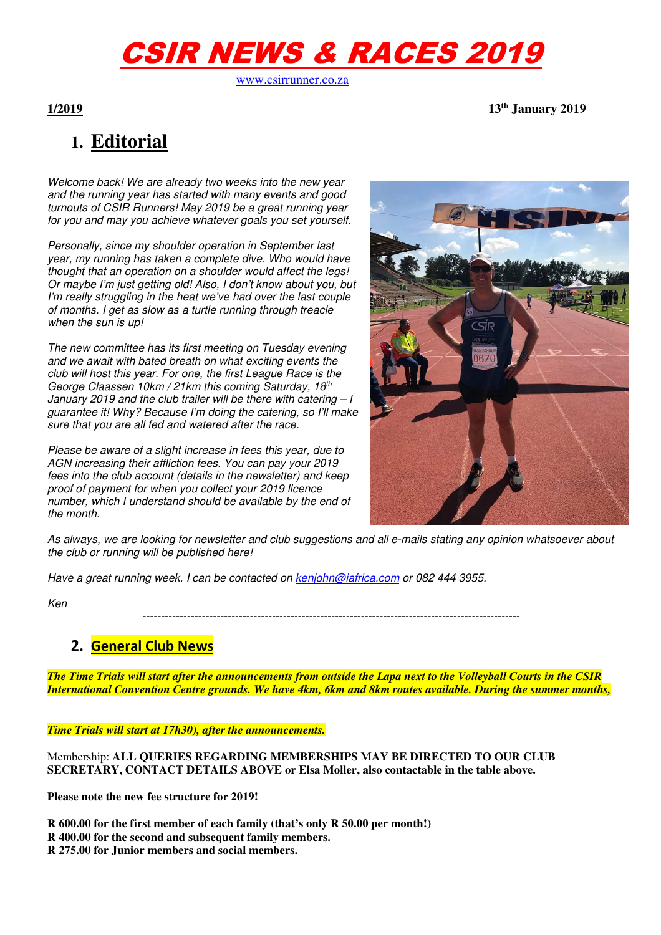# CSIR NEWS & RACES 2019

www.csirrunner.co.za

**1/2019 13th January 2019** 

## **1. Editorial**

Welcome back! We are already two weeks into the new year and the running year has started with many events and good turnouts of CSIR Runners! May 2019 be a great running year for you and may you achieve whatever goals you set yourself.

Personally, since my shoulder operation in September last year, my running has taken a complete dive. Who would have thought that an operation on a shoulder would affect the legs! Or maybe I'm just getting old! Also, I don't know about you, but I'm really struggling in the heat we've had over the last couple of months. I get as slow as a turtle running through treacle when the sun is up!

The new committee has its first meeting on Tuesday evening and we await with bated breath on what exciting events the club will host this year. For one, the first League Race is the George Claassen 10km / 21km this coming Saturday, 18th January 2019 and the club trailer will be there with catering  $-I$ guarantee it! Why? Because I'm doing the catering, so I'll make sure that you are all fed and watered after the race.

Please be aware of a slight increase in fees this year, due to AGN increasing their affliction fees. You can pay your 2019 fees into the club account (details in the newsletter) and keep proof of payment for when you collect your 2019 licence number, which I understand should be available by the end of the month.



As always, we are looking for newsletter and club suggestions and all e-mails stating any opinion whatsoever about the club or running will be published here!

Have a great running week. I can be contacted on kenjohn@iafrica.com or 082 444 3955.

Ken

------------------------------------------------------------------------------------------------------

#### **2. General Club News**

*The Time Trials will start after the announcements from outside the Lapa next to the Volleyball Courts in the CSIR International Convention Centre grounds. We have 4km, 6km and 8km routes available. During the summer months,* 

*Time Trials will start at 17h30), after the announcements.*

Membership: **ALL QUERIES REGARDING MEMBERSHIPS MAY BE DIRECTED TO OUR CLUB SECRETARY, CONTACT DETAILS ABOVE or Elsa Moller, also contactable in the table above.** 

**Please note the new fee structure for 2019!** 

**R 600.00 for the first member of each family (that's only R 50.00 per month!)** 

- **R 400.00 for the second and subsequent family members.**
- **R 275.00 for Junior members and social members.**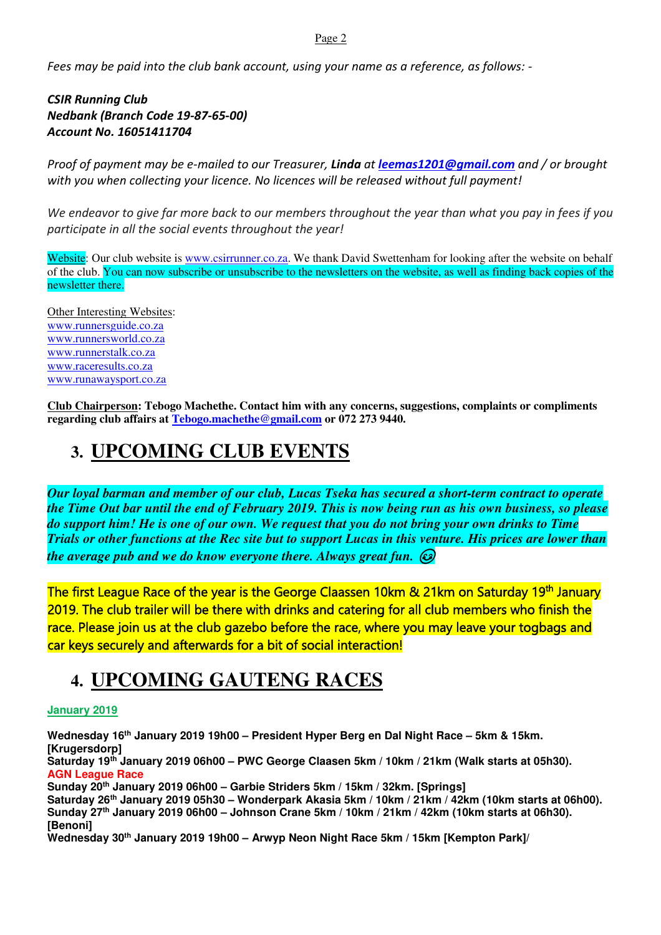#### Page 2

*Fees may be paid into the club bank account, using your name as a reference, as follows: -* 

*CSIR Running Club Nedbank (Branch Code 19-87-65-00) Account No. 16051411704* 

*Proof of payment may be e-mailed to our Treasurer, Linda at leemas1201@gmail.com and / or brought with you when collecting your licence. No licences will be released without full payment!* 

*We endeavor to give far more back to our members throughout the year than what you pay in fees if you participate in all the social events throughout the year!* 

Website: Our club website is www.csirrunner.co.za. We thank David Swettenham for looking after the website on behalf of the club. You can now subscribe or unsubscribe to the newsletters on the website, as well as finding back copies of the newsletter there.

Other Interesting Websites: www.runnersguide.co.za www.runnersworld.co.za www.runnerstalk.co.za www.raceresults.co.za www.runawaysport.co.za

**Club Chairperson: Tebogo Machethe. Contact him with any concerns, suggestions, complaints or compliments regarding club affairs at Tebogo.machethe@gmail.com or 072 273 9440.** 

## **3. UPCOMING CLUB EVENTS**

*Our loyal barman and member of our club, Lucas Tseka has secured a short-term contract to operate the Time Out bar until the end of February 2019. This is now being run as his own business, so please do support him! He is one of our own. We request that you do not bring your own drinks to Time Trials or other functions at the Rec site but to support Lucas in this venture. His prices are lower than the average pub and we do know everyone there. Always great fun.* 

The first League Race of the year is the George Claassen 10km & 21km on Saturday 19<sup>th</sup> January 2019. The club trailer will be there with drinks and catering for all club members who finish the race. Please join us at the club gazebo before the race, where you may leave your togbags and car keys securely and afterwards for a bit of social interaction!

## **4. UPCOMING GAUTENG RACES**

#### **January 2019**

**Wednesday 16th January 2019 19h00 – President Hyper Berg en Dal Night Race – 5km & 15km. [Krugersdorp] Saturday 19th January 2019 06h00 – PWC George Claasen 5km / 10km / 21km (Walk starts at 05h30).** 

**AGN League Race** 

**Sunday 20th January 2019 06h00 – Garbie Striders 5km / 15km / 32km. [Springs]** 

**Saturday 26th January 2019 05h30 – Wonderpark Akasia 5km / 10km / 21km / 42km (10km starts at 06h00). Sunday 27th January 2019 06h00 – Johnson Crane 5km / 10km / 21km / 42km (10km starts at 06h30). [Benoni]** 

**Wednesday 30th January 2019 19h00 – Arwyp Neon Night Race 5km / 15km [Kempton Park]/**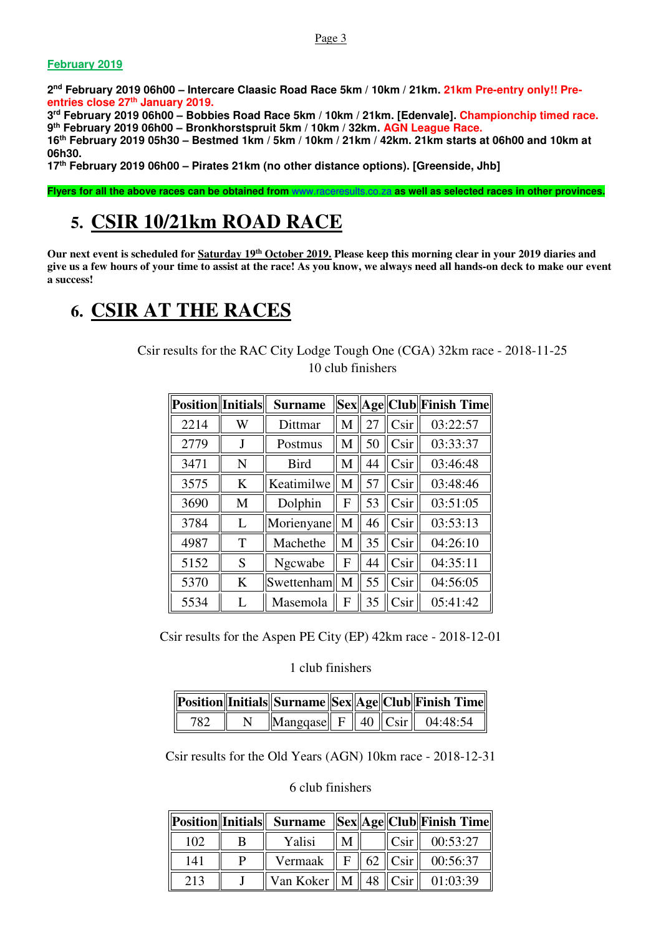#### **February 2019**

**2 nd February 2019 06h00 – Intercare Claasic Road Race 5km / 10km / 21km. 21km Pre-entry only!! Preentries close 27th January 2019.** 

**3 rd February 2019 06h00 – Bobbies Road Race 5km / 10km / 21km. [Edenvale]. Championchip timed race. 9 th February 2019 06h00 – Bronkhorstspruit 5km / 10km / 32km. AGN League Race.** 

**16th February 2019 05h30 – Bestmed 1km / 5km / 10km / 21km / 42km. 21km starts at 06h00 and 10km at 06h30.** 

**17th February 2019 06h00 – Pirates 21km (no other distance options). [Greenside, Jhb]** 

**Flyers for all the above races can be obtained from** www.raceresults.co.za **as well as selected races in other provinces.** 

## **5. CSIR 10/21km ROAD RACE**

**Our next event is scheduled for Saturday 19th October 2019. Please keep this morning clear in your 2019 diaries and give us a few hours of your time to assist at the race! As you know, we always need all hands-on deck to make our event a success!** 

## **6. CSIR AT THE RACES**

Csir results for the RAC City Lodge Tough One (CGA) 32km race - 2018-11-25 10 club finishers

| <b>Position</b> Initials |   | <b>Surname</b> |   |    |                 | Sex  Age  Club  Finish Time |
|--------------------------|---|----------------|---|----|-----------------|-----------------------------|
| 2214                     | W | Dittmar        | M | 27 | Csir            | 03:22:57                    |
| 2779                     | J | Postmus        | М | 50 | Csir            | 03:33:37                    |
| 3471                     | N | <b>Bird</b>    | М | 44 | Csir            | 03:46:48                    |
| 3575                     | K | Keatimilwe     | M | 57 | C <sub>Si</sub> | 03:48:46                    |
| 3690                     | M | Dolphin        | F | 53 | Csir            | 03:51:05                    |
| 3784                     | L | Morienyane     | M | 46 | C <sub>Si</sub> | 03:53:13                    |
| 4987                     | T | Machethe       | M | 35 | C <sub>Si</sub> | 04:26:10                    |
| 5152                     | S | Ngcwabe        | F | 44 | Csir            | 04:35:11                    |
| 5370                     | K | Swettenham     | M | 55 | C <sub>Si</sub> | 04:56:05                    |
| 5534                     | L | Masemola       | F | 35 | Csir            | 05:41:42                    |

Csir results for the Aspen PE City (EP) 42km race - 2018-12-01

1 club finishers

|     |  |  | Position  Initials  Surname  Sex  Age  Club  Finish Time |
|-----|--|--|----------------------------------------------------------|
| 782 |  |  | $\ $ Mangqase $\ $ F $\ $ 40 $\ $ Csir $\ $ 04:48:54     |

Csir results for the Old Years (AGN) 10km race - 2018-12-31

#### 6 club finishers

|     |   |                                           |   |  | Position  Initials   Surname   Sex  Age  Club  Finish Time |
|-----|---|-------------------------------------------|---|--|------------------------------------------------------------|
| 102 | B | Yalisi                                    | M |  | $ Csir $ 00:53:27                                          |
| 141 | D |                                           |   |  | Vermaak $\  F \  62 \  C \sin \  00:56:37$                 |
| 213 |   | Van Koker    M    48 $  C\sin  $ 01:03:39 |   |  |                                                            |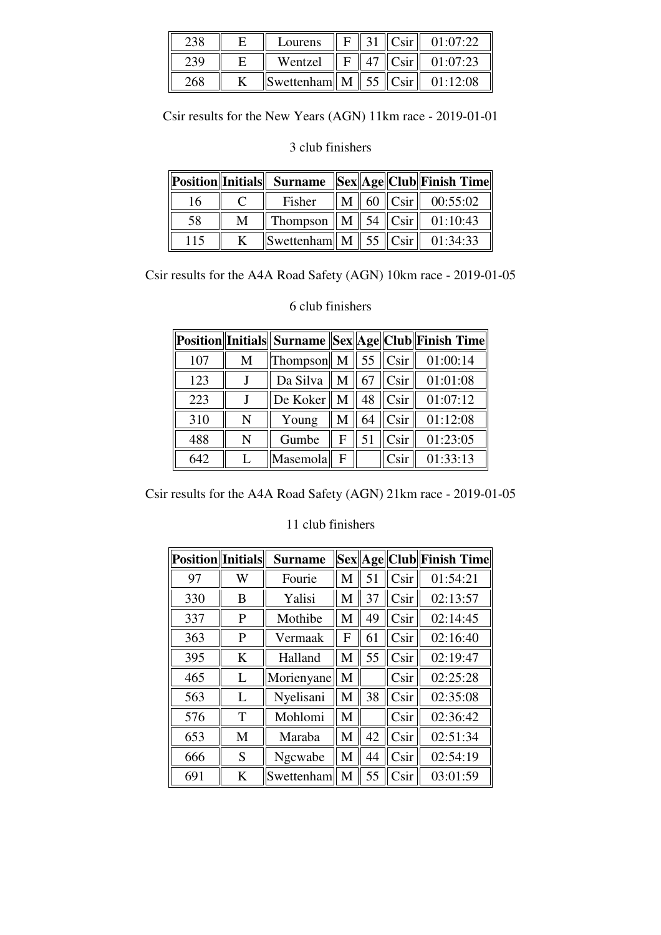|     | Lourens                                  |  | C <sub>cir</sub>  | 01.07.22 |
|-----|------------------------------------------|--|-------------------|----------|
|     | Wentzel                                  |  | C <sub>Si</sub> r | 01:07:23 |
| 268 | $\ $ Swettenham $\ $ M $\ $ 55 $\ $ Csir |  |                   | 01:12:08 |

Csir results for the New Years (AGN) 11km race - 2019-01-01

#### 3 club finishers

|     |   |                                         |  | Position  Initials   Surname   Sex  Age  Club  Finish Time |
|-----|---|-----------------------------------------|--|------------------------------------------------------------|
| 16  |   | Fisher                                  |  | M   60   Csir   00:55:02                                   |
| 58  | M | Thompson    M    54    Csir    01:10:43 |  |                                                            |
| 115 |   | $\ S$ wettenham $\ M\ $ 55 $\ C\sin\ $  |  | 01:34:33                                                   |

Csir results for the A4A Road Safety (AGN) 10km race - 2019-01-05

|     |   |                        |             |    |                   | Position  Initials   Surname   Sex  Age  Club  Finish Time |
|-----|---|------------------------|-------------|----|-------------------|------------------------------------------------------------|
| 107 | M | Thompson $\parallel$ M |             | 55 | Csir              | 01:00:14                                                   |
| 123 |   | Da Silva               | $M_{\odot}$ | 67 | C <sub>Si</sub> r | 01:01:08                                                   |
| 223 |   | De Koker               | M           | 48 | Csir              | 01:07:12                                                   |
| 310 | N | Young                  | М           | 64 | C <sub>Si</sub>   | 01:12:08                                                   |
| 488 | N | Gumbe                  | F           | 51 | Csir <sup>'</sup> | 01:23:05                                                   |
| 642 | L | Masemola               | F           |    | Csir              | 01:33:13                                                   |

#### 6 club finishers

Csir results for the A4A Road Safety (AGN) 21km race - 2019-01-05

#### 11 club finishers

| <b>Position</b> Initials |   | <b>Surname</b> |   |    |                 | Sex  Age  Club  Finish Time |
|--------------------------|---|----------------|---|----|-----------------|-----------------------------|
| 97                       | W | Fourie         | M | 51 | C <sub>Si</sub> | 01:54:21                    |
| 330                      | B | Yalisi         | M | 37 | Csir            | 02:13:57                    |
| 337                      | P | Mothibe        | M | 49 | Csir            | 02:14:45                    |
| 363                      | P | Vermaak        | F | 61 | Csir            | 02:16:40                    |
| 395                      | K | Halland        | M | 55 | Csir            | 02:19:47                    |
| 465                      | L | Morienyane     | M |    | Csir            | 02:25:28                    |
| 563                      | L | Nyelisani      | M | 38 | Csir            | 02:35:08                    |
| 576                      | T | Mohlomi        | M |    | Csir            | 02:36:42                    |
| 653                      | M | Maraba         | M | 42 | Csir            | 02:51:34                    |
| 666                      | S | Ngcwabe        | M | 44 | C <sub>Si</sub> | 02:54:19                    |
| 691                      | K | Swettenham     | M | 55 | Csir            | 03:01:59                    |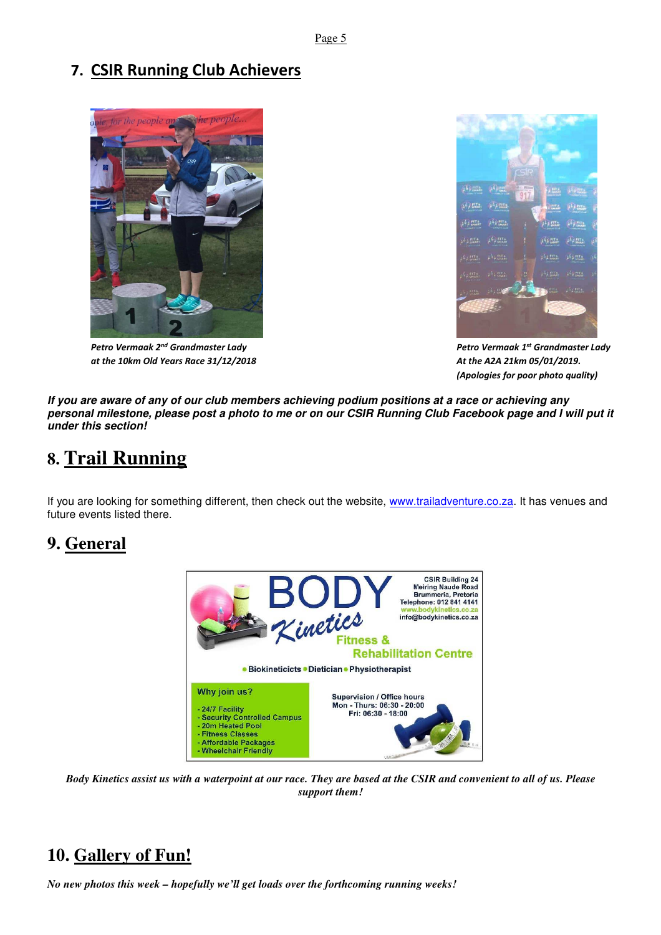#### **7. CSIR Running Club Achievers**



*at the 10km Old Years Race 31/12/2018 At the A2A 21km 05/01/2019.* 



*Petro Vermaak 2nd Grandmaster Lady Petro Vermaak 1st Grandmaster Lady (Apologies for poor photo quality)* 

**If you are aware of any of our club members achieving podium positions at a race or achieving any personal milestone, please post a photo to me or on our CSIR Running Club Facebook page and I will put it under this section!** 

## **8. Trail Running**

If you are looking for something different, then check out the website, www.trailadventure.co.za. It has venues and future events listed there.

#### **9. General**



*Body Kinetics assist us with a waterpoint at our race. They are based at the CSIR and convenient to all of us. Please support them!* 

## **10. Gallery of Fun!**

*No new photos this week – hopefully we'll get loads over the forthcoming running weeks!*